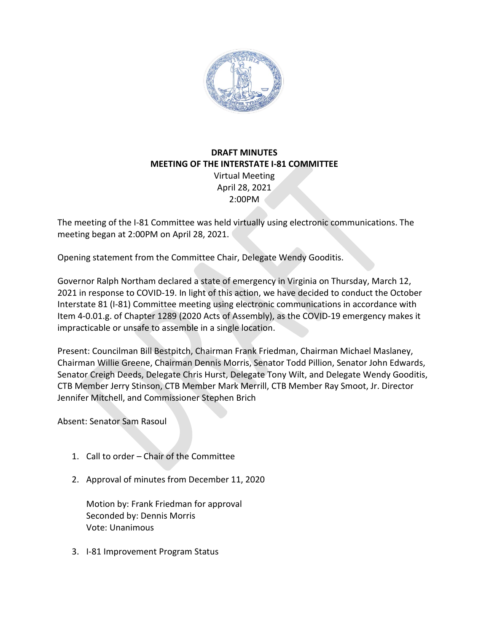

## **DRAFT MINUTES MEETING OF THE INTERSTATE I-81 COMMITTEE** Virtual Meeting

April 28, 2021 2:00PM

The meeting of the I-81 Committee was held virtually using electronic communications. The meeting began at 2:00PM on April 28, 2021.

Opening statement from the Committee Chair, Delegate Wendy Gooditis.

Governor Ralph Northam declared a state of emergency in Virginia on Thursday, March 12, 2021 in response to COVID-19. In light of this action, we have decided to conduct the October Interstate 81 (I-81) Committee meeting using electronic communications in accordance with Item 4-0.01.g. of Chapter 1289 (2020 Acts of Assembly), as the COVID-19 emergency makes it impracticable or unsafe to assemble in a single location.

Present: Councilman Bill Bestpitch, Chairman Frank Friedman, Chairman Michael Maslaney, Chairman Willie Greene, Chairman Dennis Morris, Senator Todd Pillion, Senator John Edwards, Senator Creigh Deeds, Delegate Chris Hurst, Delegate Tony Wilt, and Delegate Wendy Gooditis, CTB Member Jerry Stinson, CTB Member Mark Merrill, CTB Member Ray Smoot, Jr. Director Jennifer Mitchell, and Commissioner Stephen Brich

Absent: Senator Sam Rasoul

- 1. Call to order Chair of the Committee
- 2. Approval of minutes from December 11, 2020

Motion by: Frank Friedman for approval Seconded by: Dennis Morris Vote: Unanimous

3. I-81 Improvement Program Status